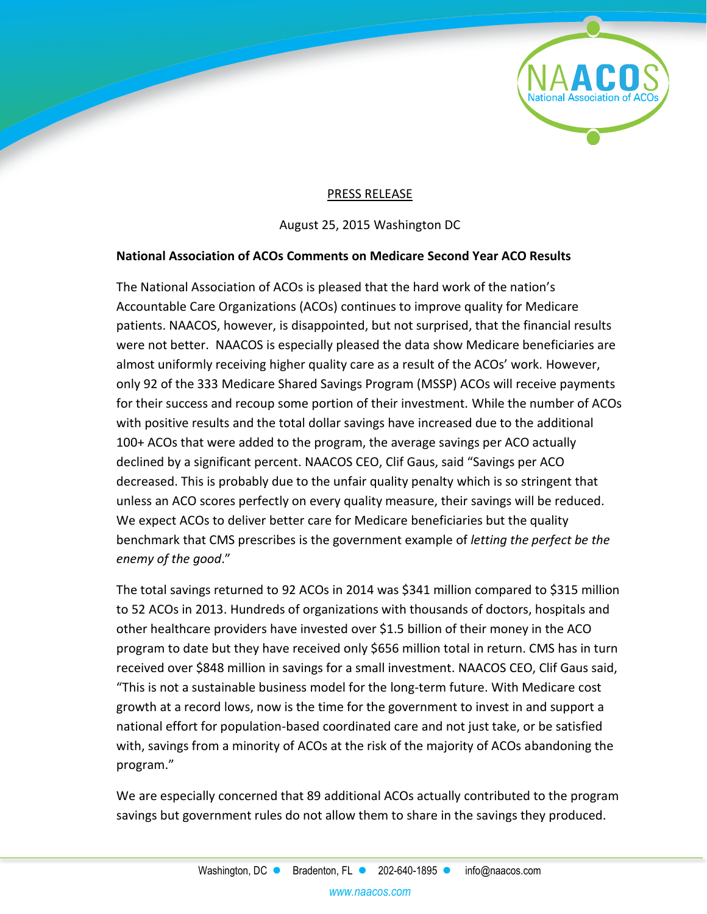

## PRESS RELEASE

August 25, 2015 Washington DC

## **National Association of ACOs Comments on Medicare Second Year ACO Results**

The National Association of ACOs is pleased that the hard work of the nation's Accountable Care Organizations (ACOs) continues to improve quality for Medicare patients. NAACOS, however, is disappointed, but not surprised, that the financial results were not better. NAACOS is especially pleased the data show Medicare beneficiaries are almost uniformly receiving higher quality care as a result of the ACOs' work. However, only 92 of the 333 Medicare Shared Savings Program (MSSP) ACOs will receive payments for their success and recoup some portion of their investment. While the number of ACOs with positive results and the total dollar savings have increased due to the additional 100+ ACOs that were added to the program, the average savings per ACO actually declined by a significant percent. NAACOS CEO, Clif Gaus, said "Savings per ACO decreased. This is probably due to the unfair quality penalty which is so stringent that unless an ACO scores perfectly on every quality measure, their savings will be reduced. We expect ACOs to deliver better care for Medicare beneficiaries but the quality benchmark that CMS prescribes is the government example of *letting the perfect be the enemy of the good*."

The total savings returned to 92 ACOs in 2014 was \$341 million compared to \$315 million to 52 ACOs in 2013. Hundreds of organizations with thousands of doctors, hospitals and other healthcare providers have invested over \$1.5 billion of their money in the ACO program to date but they have received only \$656 million total in return. CMS has in turn received over \$848 million in savings for a small investment. NAACOS CEO, Clif Gaus said, "This is not a sustainable business model for the long-term future. With Medicare cost growth at a record lows, now is the time for the government to invest in and support a national effort for population-based coordinated care and not just take, or be satisfied with, savings from a minority of ACOs at the risk of the majority of ACOs abandoning the program."

We are especially concerned that 89 additional ACOs actually contributed to the program savings but government rules do not allow them to share in the savings they produced.